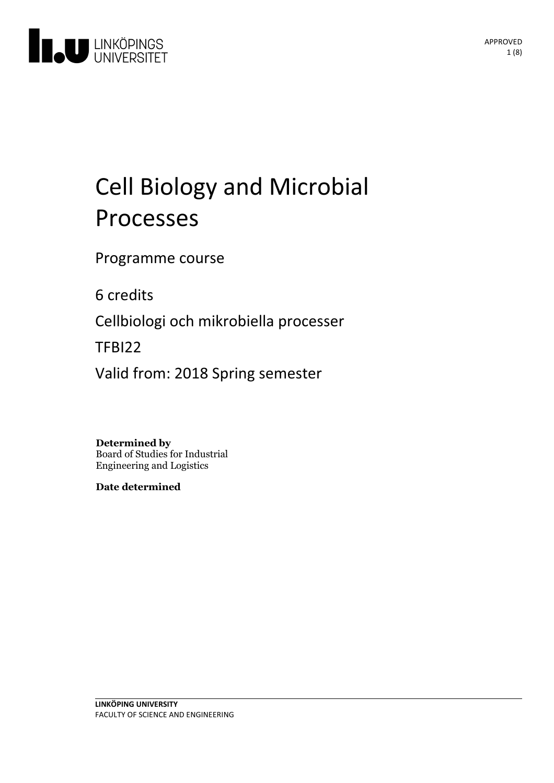

# Cell Biologyand Microbial Processes

Programme course

6 credits

Cellbiologi och mikrobiella processer

TFBI22

Valid from: 2018 Spring semester

**Determined by**

Board of Studies for Industrial Engineering and Logistics

**Date determined**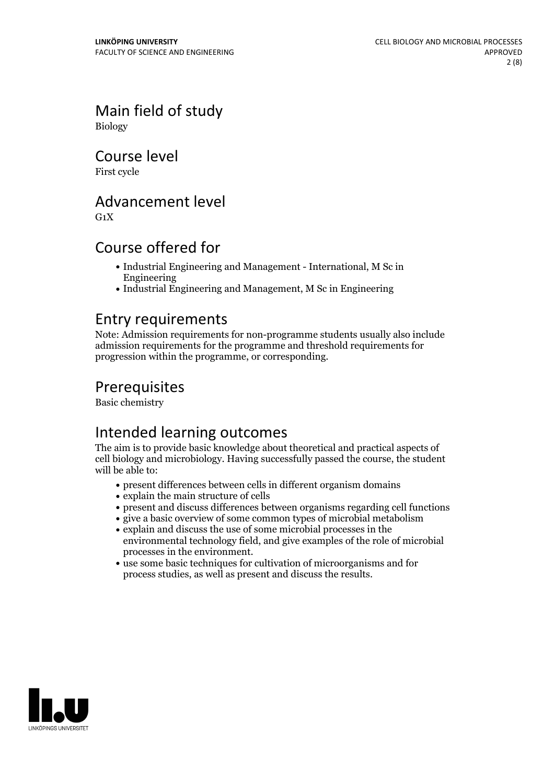Main field of study Biology

Course level

First cycle

# Advancement level

 $G_1X$ 

# Course offered for

- Industrial Engineering and Management International, M Sc in Engineering
- Industrial Engineering and Management, M Sc in Engineering

### Entry requirements

Note: Admission requirements for non-programme students usually also include admission requirements for the programme and threshold requirements for progression within the programme, or corresponding.

# **Prerequisites**

Basic chemistry

# Intended learning outcomes

The aim is to provide basic knowledge about theoretical and practical aspects of cell biology and microbiology. Having successfully passed the course, the student will be able to:

- present differences between cells in different organism domains
- $\bullet$  explain the main structure of cells
- present and discuss differences between organisms regarding cell functions
- give a basic overview of some common types of microbial metabolism
- explain and discuss the use of some microbial processes in the environmental technology field, and give examples of the role of microbial
- processes in the environment.<br>• use some basic techniques for cultivation of microorganisms and for process studies, as well as present and discuss the results.

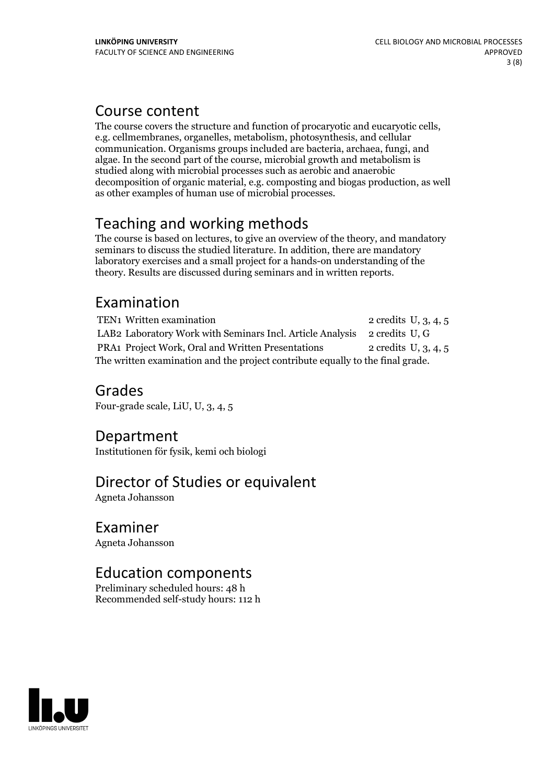# Course content

The course covers the structure and function of procaryotic and eucaryotic cells, e.g. cellmembranes, organelles, metabolism, photosynthesis, and cellular communication. Organisms groups included are bacteria, archaea, fungi, and algae. In the second part of the course, microbial growth and metabolism is studied along with microbial processes such as aerobic and anaerobic decomposition of organic material, e.g. composting and biogas production, as well as other examples of human use of microbial processes.

# Teaching and working methods

The course is based on lectures, to give an overview of the theory, and mandatory seminars to discuss the studied literature. In addition, there are mandatory laboratory exercises and a small project for a hands-on understanding of the theory. Results are discussed during seminars and in written reports.

# Examination

TEN1 Written examination 2 credits U, 3, 4, 5 LAB2 Laboratory Work with Seminars Incl. Article Analysis 2 credits U, G PRA1 Project Work, Oral and Written Presentations 2 credits U, 3, 4, 5 The written examination and the project contribute equally to the final grade.

Grades Four-grade scale, LiU, U, 3, 4, 5

# Department

Institutionen för fysik, kemi och biologi

# Director of Studies or equivalent

Agneta Johansson

### Examiner

Agneta Johansson

# Education components

Preliminary scheduled hours: 48 h Recommended self-study hours: 112 h

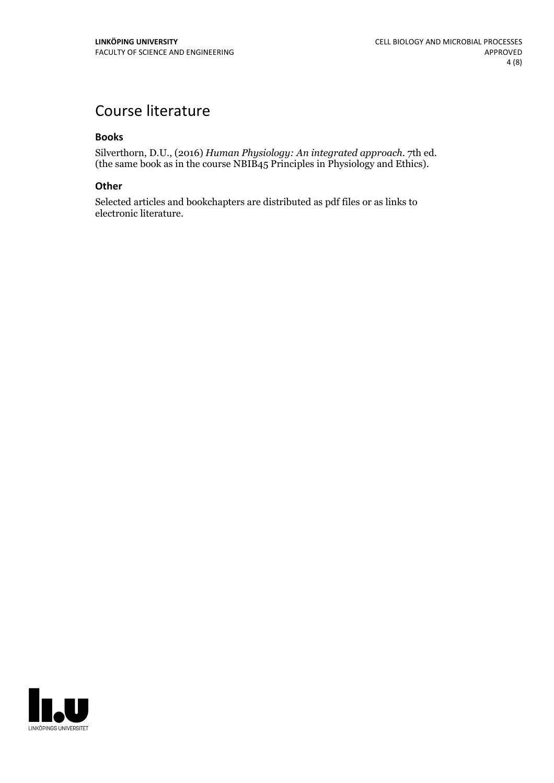# Course literature

### **Books**

Silverthorn, D.U., (2016) *Human Physiology: An integrated approach.* 7th ed. (the same book as in the course NBIB45 Principles in Physiology and Ethics).

### **Other**

Selected articles and bookchapters are distributed as pdf files or as links to electronic literature.

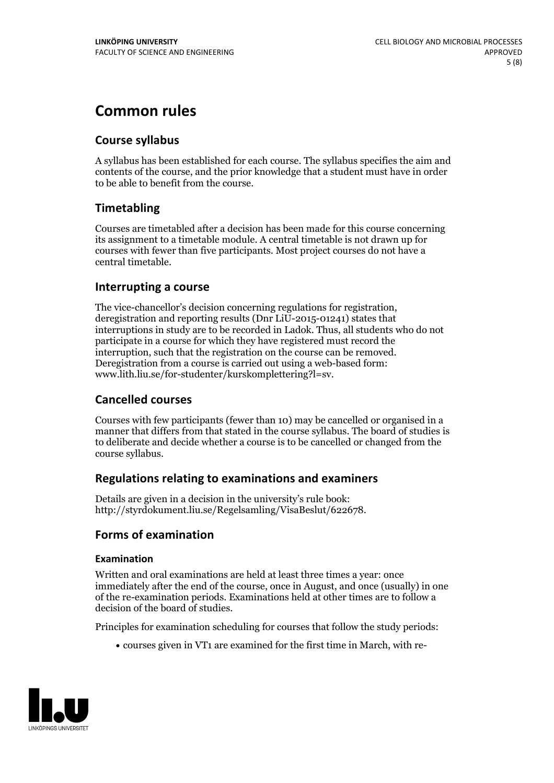# **Common rules**

### **Course syllabus**

A syllabus has been established for each course. The syllabus specifies the aim and contents of the course, and the prior knowledge that a student must have in order to be able to benefit from the course.

### **Timetabling**

Courses are timetabled after a decision has been made for this course concerning its assignment to a timetable module. A central timetable is not drawn up for courses with fewer than five participants. Most project courses do not have a central timetable.

### **Interrupting a course**

The vice-chancellor's decision concerning regulations for registration, deregistration and reporting results (Dnr LiU-2015-01241) states that interruptions in study are to be recorded in Ladok. Thus, all students who do not participate in a course for which they have registered must record the interruption, such that the registration on the course can be removed. Deregistration from <sup>a</sup> course is carried outusing <sup>a</sup> web-based form: www.lith.liu.se/for-studenter/kurskomplettering?l=sv.

### **Cancelled courses**

Courses with few participants (fewer than 10) may be cancelled or organised in a manner that differs from that stated in the course syllabus. The board of studies is to deliberate and decide whether a course is to be cancelled orchanged from the course syllabus.

### **Regulations relatingto examinations and examiners**

Details are given in a decision in the university's rule book: http://styrdokument.liu.se/Regelsamling/VisaBeslut/622678.

### **Forms of examination**

### **Examination**

Written and oral examinations are held at least three times a year: once immediately after the end of the course, once in August, and once (usually) in one of the re-examination periods. Examinations held at other times are to follow a decision of the board of studies.

Principles for examination scheduling for courses that follow the study periods:

courses given in VT1 are examined for the first time in March, with re-

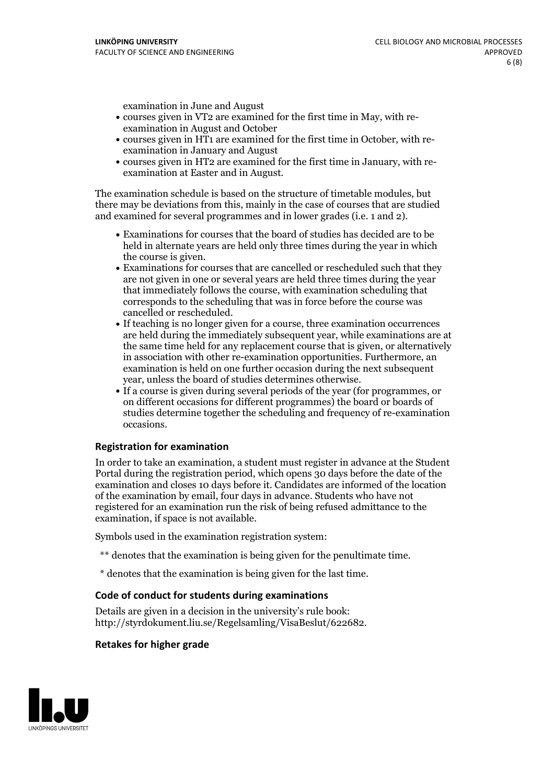examination in June and August

- courses given in VT2 are examined for the first time in May, with re-examination in August and October
- courses given in HT1 are examined for the first time in October, with re-examination in January and August
- courses given in HT2 are examined for the first time in January, with re-examination at Easter and in August.

The examination schedule is based on the structure of timetable modules, but there may be deviations from this, mainly in the case of courses that are studied and examined for several programmes and in lower grades (i.e. 1 and 2).

- Examinations for courses that the board of studies has decided are to be held in alternate years are held only three times during the year in which
- the course is given.<br>• Examinations for courses that are cancelled or rescheduled such that they are not given in one or several years are held three times during the year that immediately follows the course, with examination scheduling that corresponds to the scheduling that was in force before the course was cancelled or rescheduled.<br>• If teaching is no longer given for a course, three examination occurrences
- are held during the immediately subsequent year, while examinations are at the same time held for any replacement course that is given, or alternatively in association with other re-examination opportunities. Furthermore, an examination is held on one further occasion during the next subsequent year, unless the board of studies determines otherwise.<br>• If a course is given during several periods of the year (for programmes, or
- on different occasions for different programmes) the board orboards of studies determine together the scheduling and frequency of re-examination occasions.

### **Registration for examination**

In order to take an examination, a student must register in advance at the Student Portal during the registration period, which opens 30 days before the date of the examination and closes 10 days before it. Candidates are informed of the location of the examination by email, four days in advance. Students who have not registered for an examination run the risk of being refused admittance to the examination, if space is not available.

Symbols used in the examination registration system:

- \*\* denotes that the examination is being given for the penultimate time.
- \* denotes that the examination is being given for the last time.

#### **Code of conduct for students during examinations**

Details are given in a decision in the university's rule book: http://styrdokument.liu.se/Regelsamling/VisaBeslut/622682.

#### **Retakes for higher grade**

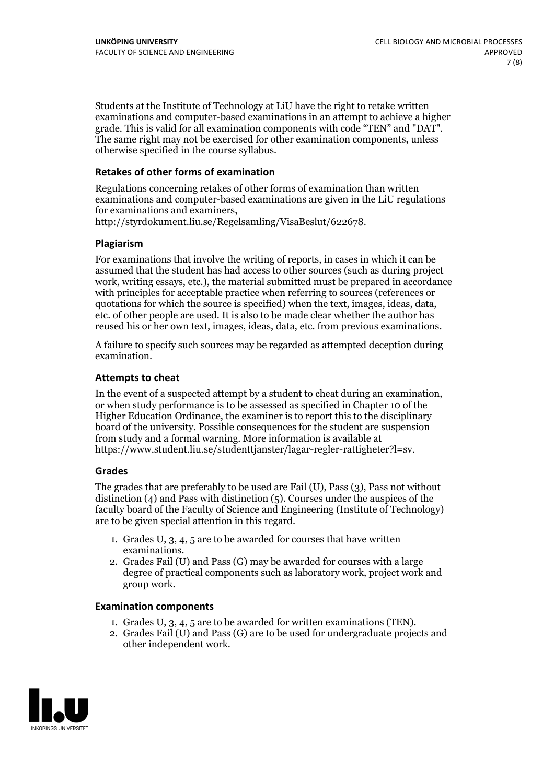Students at the Institute of Technology at LiU have the right to retake written examinations and computer-based examinations in an attempt to achieve a higher grade. This is valid for all examination components with code "TEN" and "DAT". The same right may not be exercised for other examination components, unless otherwise specified in the course syllabus.

#### **Retakes of other forms of examination**

Regulations concerning retakes of other forms of examination than written examinations and computer-based examinations are given in the LiU regulations for examinations and examiners, http://styrdokument.liu.se/Regelsamling/VisaBeslut/622678.

#### **Plagiarism**

For examinations that involve the writing of reports, in cases in which it can be assumed that the student has had access to other sources (such as during project work, writing essays, etc.), the material submitted must be prepared in accordance with principles for acceptable practice when referring to sources (references or quotations for which the source is specified) when the text, images, ideas, data, etc. of other people are used. It is also to be made clear whether the author has reused his or her own text, images, ideas, data, etc. from previous examinations.

A failure to specify such sources may be regarded as attempted deception during examination.

#### **Attempts to cheat**

In the event of <sup>a</sup> suspected attempt by <sup>a</sup> student to cheat during an examination, or when study performance is to be assessed as specified in Chapter <sup>10</sup> of the Higher Education Ordinance, the examiner is to report this to the disciplinary board of the university. Possible consequences for the student are suspension from study and a formal warning. More information is available at https://www.student.liu.se/studenttjanster/lagar-regler-rattigheter?l=sv.

#### **Grades**

The grades that are preferably to be used are Fail (U), Pass (3), Pass not without distinction  $(4)$  and Pass with distinction  $(5)$ . Courses under the auspices of the faculty board of the Faculty of Science and Engineering (Institute of Technology) are to be given special attention in this regard.

- 1. Grades U, 3, 4, 5 are to be awarded for courses that have written
- examinations. 2. Grades Fail (U) and Pass (G) may be awarded for courses with <sup>a</sup> large degree of practical components such as laboratory work, project work and group work.

#### **Examination components**

- 
- 1. Grades U, 3, 4, <sup>5</sup> are to be awarded for written examinations (TEN). 2. Grades Fail (U) and Pass (G) are to be used for undergraduate projects and other independent work.